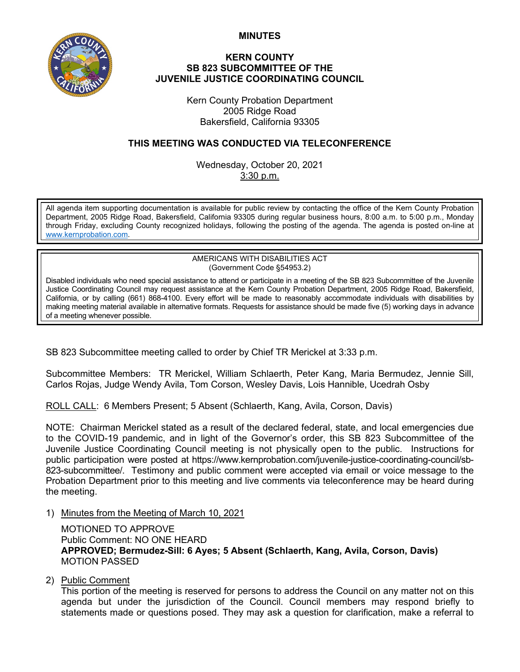**MINUTES**



## **KERN COUNTY SB 823 SUBCOMMITTEE OF THE JUVENILE JUSTICE COORDINATING COUNCIL**

Kern County Probation Department 2005 Ridge Road Bakersfield, California 93305

## **THIS MEETING WAS CONDUCTED VIA TELECONFERENCE**

Wednesday, October 20, 2021 3:30 p.m.

All agenda item supporting documentation is available for public review by contacting the office of the Kern County Probation Department, 2005 Ridge Road, Bakersfield, California 93305 during regular business hours, 8:00 a.m. to 5:00 p.m., Monday through Friday, excluding County recognized holidays, following the posting of the agenda. The agenda is posted on-line at [www.kernprobation.com.](http://www.kernprobation.com/)

> AMERICANS WITH DISABILITIES ACT (Government Code §54953.2)

Disabled individuals who need special assistance to attend or participate in a meeting of the SB 823 Subcommittee of the Juvenile Justice Coordinating Council may request assistance at the Kern County Probation Department, 2005 Ridge Road, Bakersfield, California, or by calling (661) 868-4100. Every effort will be made to reasonably accommodate individuals with disabilities by making meeting material available in alternative formats. Requests for assistance should be made five (5) working days in advance of a meeting whenever possible.

SB 823 Subcommittee meeting called to order by Chief TR Merickel at 3:33 p.m.

Subcommittee Members: TR Merickel, William Schlaerth, Peter Kang, Maria Bermudez, Jennie Sill, Carlos Rojas, Judge Wendy Avila, Tom Corson, Wesley Davis, Lois Hannible, Ucedrah Osby

ROLL CALL: 6 Members Present; 5 Absent (Schlaerth, Kang, Avila, Corson, Davis)

NOTE: Chairman Merickel stated as a result of the declared federal, state, and local emergencies due to the COVID-19 pandemic, and in light of the Governor's order, this SB 823 Subcommittee of the Juvenile Justice Coordinating Council meeting is not physically open to the public. Instructions for public participation were posted at https://www.kernprobation.com/juvenile-justice-coordinating-council/sb-823-subcommittee/. Testimony and public comment were accepted via email or voice message to the Probation Department prior to this meeting and live comments via teleconference may be heard during the meeting.

1) Minutes from the Meeting of March 10, 2021

MOTIONED TO APPROVE Public Comment: NO ONE HEARD **APPROVED; Bermudez-Sill: 6 Ayes; 5 Absent (Schlaerth, Kang, Avila, Corson, Davis)** MOTION PASSED

2) Public Comment

This portion of the meeting is reserved for persons to address the Council on any matter not on this agenda but under the jurisdiction of the Council. Council members may respond briefly to statements made or questions posed. They may ask a question for clarification, make a referral to